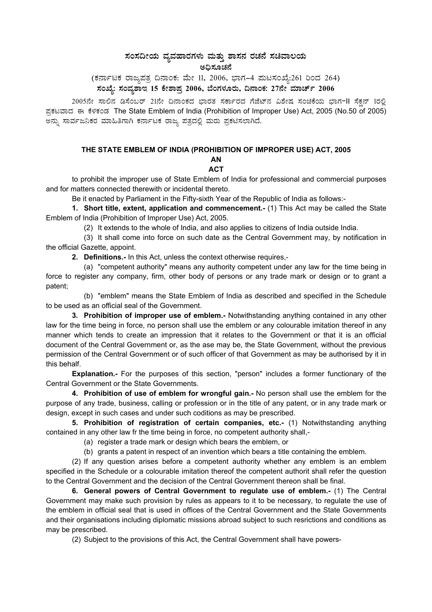# ಸಂಸದೀಯ ವ್ಯವಹಾರಗಳು ಮತ್ತು ಶಾಸನ ರಚನೆ ಸಚಿವಾಲಯ ಅಧಿಸೂಚನೆ

(ಕರ್ನಾಟಕ ರಾಜ್ಯಪತ್ರ ದಿನಾಂಕ: ಮೇ 11, 2006, ಭಾಗ–4 ಮಟಸಂಖ್ಯೆ:261 ರಿಂದ 264) ಸಂಖ್ಯೆ: ಸಂವೃಶಾಇ 15 ಕೇಶಾಪ್ರ 2006, ಬೆಂಗಳೂರು, ದಿನಾಂಕ: 27ನೇ ಮಾರ್ಚ್ 2006

2005ನೇ ಸಾಲಿನ ಡಿಸೆಂಬರ್ 21ನೇ ದಿನಾಂಕದ ಭಾರತ ಸರ್ಕಾರದ ಗೆಜೆಟ್ನ ವಿಶೇಷ ಸಂಚಿಕೆಯ ಭಾಗ-II ಸೆಕನ್ 1ರಲಿ ಪ್ರಕಟವಾದ ಈ ಕೆಳಕಂಡ The State Emblem of India (Prohibition of Improper Use) Act, 2005 (No.50 of 2005) ಅನ್ನು ಸಾರ್ವಜನಿಕರ ಮಾಹಿತಿಗಾಗಿ ಕರ್ನಾಟಕ ರಾಜ್ಯ ಪತ್ರದಲ್ಲಿ ಮರು ಪ್ರಕಟಿಸಲಾಗಿದೆ.

### THE STATE EMBLEM OF INDIA (PROHIBITION OF IMPROPER USE) ACT, 2005

# AN

**ACT** 

to prohibit the improper use of State Emblem of India for professional and commercial purposes and for matters connected therewith or incidental thereto.

Be it enacted by Parliament in the Fifty-sixth Year of the Republic of India as follows:-

1. Short title, extent, application and commencement.- (1) This Act may be called the State Emblem of India (Prohibition of Improper Use) Act, 2005.

(2) It extends to the whole of India, and also applies to citizens of India outside India.

(3) It shall come into force on such date as the Central Government may, by notification in the official Gazette, appoint.

2. Definitions.- In this Act, unless the context otherwise requires,-

(a) "competent authority" means any authority competent under any law for the time being in force to register any company, firm, other body of persons or any trade mark or design or to grant a patent:

(b) "emblem" means the State Emblem of India as described and specified in the Schedule to be used as an official seal of the Government.

3. Prohibition of improper use of emblem.- Notwithstanding anything contained in any other law for the time being in force, no person shall use the emblem or any colourable imitation thereof in any manner which tends to create an impression that it relates to the Government or that it is an official document of the Central Government or, as the ase may be, the State Government, without the previous permission of the Central Government or of such officer of that Government as may be authorised by it in this behalf.

Explanation.- For the purposes of this section, "person" includes a former functionary of the Central Government or the State Governments.

4. Prohibition of use of emblem for wrongful gain.- No person shall use the emblem for the purpose of any trade, business, calling or profession or in the title of any patent, or in any trade mark or design, except in such cases and under such coditions as may be prescribed.

5. Prohibition of registration of certain companies, etc.- (1) Notwithstanding anything contained in any other law fr the time being in force, no competent authority shall,-

(a) register a trade mark or design which bears the emblem, or

(b) grants a patent in respect of an invention which bears a title containing the emblem.

(2) If any question arises before a competent authority whether any emblem is an emblem specified in the Schedule or a colourable imitation thereof the competent authorit shall refer the question to the Central Government and the decision of the Central Government thereon shall be final.

6. General powers of Central Government to regulate use of emblem.- (1) The Central Government may make such provision by rules as appears to it to be necessary, to regulate the use of the emblem in official seal that is used in offices of the Central Government and the State Governments and their organisations including diplomatic missions abroad subject to such resrictions and conditions as may be prescribed.

(2) Subject to the provisions of this Act, the Central Government shall have powers-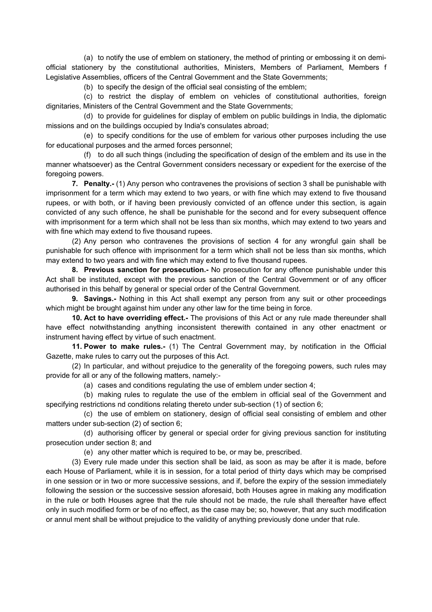(a) to notify the use of emblem on stationery, the method of printing or embossing it on demiofficial stationery by the constitutional authorities, Ministers, Members of Parliament, Members f Legislative Assemblies, officers of the Central Government and the State Governments;

(b) to specify the design of the official seal consisting of the emblem;

(c) to restrict the display of emblem on vehicles of constitutional authorities, foreign dignitaries, Ministers of the Central Government and the State Governments;

(d) to provide for guidelines for display of emblem on public buildings in India, the diplomatic missions and on the buildings occupied by India's consulates abroad;

(e) to specify conditions for the use of emblem for various other purposes including the use for educational purposes and the armed forces personnel;

(f) to do all such things (including the specification of design of the emblem and its use in the manner whatsoever) as the Central Government considers necessary or expedient for the exercise of the foregoing powers.

**7. Penalty.-** (1) Any person who contravenes the provisions of section 3 shall be punishable with imprisonment for a term which may extend to two years, or with fine which may extend to five thousand rupees, or with both, or if having been previously convicted of an offence under this section, is again convicted of any such offence, he shall be punishable for the second and for every subsequent offence with imprisonment for a term which shall not be less than six months, which may extend to two years and with fine which may extend to five thousand rupees.

(2) Any person who contravenes the provisions of section 4 for any wrongful gain shall be punishable for such offence with imprisonment for a term which shall not be less than six months, which may extend to two years and with fine which may extend to five thousand rupees.

**8. Previous sanction for prosecution.-** No prosecution for any offence punishable under this Act shall be instituted, except with the previous sanction of the Central Government or of any officer authorised in this behalf by general or special order of the Central Government.

**9. Savings.-** Nothing in this Act shall exempt any person from any suit or other proceedings which might be brought against him under any other law for the time being in force.

**10. Act to have overriding effect.-** The provisions of this Act or any rule made thereunder shall have effect notwithstanding anything inconsistent therewith contained in any other enactment or instrument having effect by virtue of such enactment.

**11. Power to make rules.-** (1) The Central Government may, by notification in the Official Gazette, make rules to carry out the purposes of this Act.

(2) In particular, and without prejudice to the generality of the foregoing powers, such rules may provide for all or any of the following matters, namely:-

(a) cases and conditions regulating the use of emblem under section 4;

(b) making rules to regulate the use of the emblem in official seal of the Government and specifying restrictions nd conditions relating thereto under sub-section (1) of section 6;

(c) the use of emblem on stationery, design of official seal consisting of emblem and other matters under sub-section (2) of section 6;

(d) authorising officer by general or special order for giving previous sanction for instituting prosecution under section 8; and

(e) any other matter which is required to be, or may be, prescribed.

(3) Every rule made under this section shall be laid, as soon as may be after it is made, before each House of Parliament, while it is in session, for a total period of thirty days which may be comprised in one session or in two or more successive sessions, and if, before the expiry of the session immediately following the session or the successive session aforesaid, both Houses agree in making any modification in the rule or both Houses agree that the rule should not be made, the rule shall thereafter have effect only in such modified form or be of no effect, as the case may be; so, however, that any such modification or annul ment shall be without prejudice to the validity of anything previously done under that rule.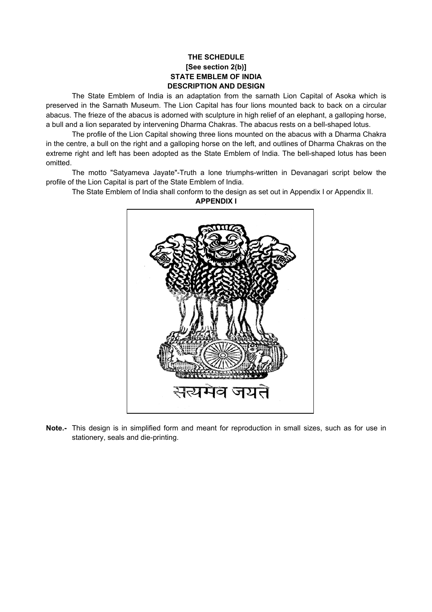## **THE SCHEDULE [See section 2(b)] STATE EMBLEM OF INDIA DESCRIPTION AND DESIGN**

The State Emblem of India is an adaptation from the sarnath Lion Capital of Asoka which is preserved in the Sarnath Museum. The Lion Capital has four lions mounted back to back on a circular abacus. The frieze of the abacus is adorned with sculpture in high relief of an elephant, a galloping horse, a bull and a lion separated by intervening Dharma Chakras. The abacus rests on a bell-shaped lotus.

The profile of the Lion Capital showing three lions mounted on the abacus with a Dharma Chakra in the centre, a bull on the right and a galloping horse on the left, and outlines of Dharma Chakras on the extreme right and left has been adopted as the State Emblem of India. The bell-shaped lotus has been omitted.

The motto "Satyameva Jayate"-Truth a lone triumphs-written in Devanagari script below the profile of the Lion Capital is part of the State Emblem of India.

The State Emblem of India shall conform to the design as set out in Appendix I or Appendix II.



**APPENDIX I** 

**Note.-** This design is in simplified form and meant for reproduction in small sizes, such as for use in stationery, seals and die-printing.